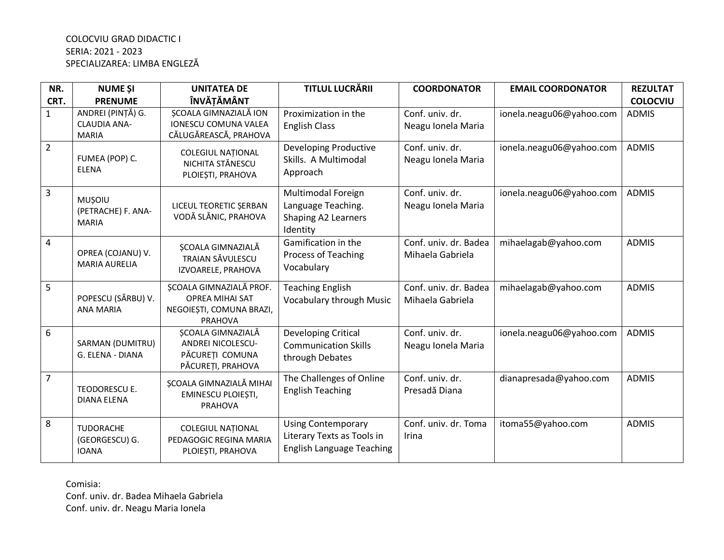## COLOCVIU GRAD DIDACTIC I SERIA: 2021 - 2023 SPECIALIZAREA: LIMBA ENGLEZĂ

| NR.            | <b>NUME ȘI</b>                                           | <b>UNITATEA DE</b>                                                                       | <b>TITLUL LUCRĂRII</b>                                                                      | <b>COORDONATOR</b>                        | <b>EMAIL COORDONATOR</b> | <b>REZULTAT</b> |
|----------------|----------------------------------------------------------|------------------------------------------------------------------------------------------|---------------------------------------------------------------------------------------------|-------------------------------------------|--------------------------|-----------------|
| CRT.           | <b>PRENUME</b>                                           | <b>ÎNVĂȚĂMÂNT</b>                                                                        |                                                                                             |                                           |                          | <b>COLOCVIU</b> |
| $\mathbf{1}$   | ANDREI (PINȚĂ) G.<br><b>CLAUDIA ANA-</b><br><b>MARIA</b> | ȘCOALA GIMNAZIALĂ ION<br><b>IONESCU COMUNA VALEA</b><br>CĂLUGĂREASCĂ, PRAHOVA            | Proximization in the<br><b>English Class</b>                                                | Conf. univ. dr.<br>Neagu Ionela Maria     | ionela.neagu06@yahoo.com | <b>ADMIS</b>    |
| $\overline{2}$ | FUMEA (POP) C.<br><b>ELENA</b>                           | <b>COLEGIUL NATIONAL</b><br>NICHITA STĂNESCU<br>PLOIEȘTI, PRAHOVA                        | Developing Productive<br>Skills. A Multimodal<br>Approach                                   | Conf. univ. dr.<br>Neagu Ionela Maria     | ionela.neagu06@yahoo.com | <b>ADMIS</b>    |
| 3              | <b>MUSOIU</b><br>(PETRACHE) F. ANA-<br><b>MARIA</b>      | LICEUL TEORETIC SERBAN<br>VODĂ SLĂNIC, PRAHOVA                                           | Multimodal Foreign<br>Language Teaching.<br>Shaping A2 Learners<br>Identity                 | Conf. univ. dr.<br>Neagu Ionela Maria     | ionela.neagu06@yahoo.com | <b>ADMIS</b>    |
| $\overline{a}$ | OPREA (COJANU) V.<br><b>MARIA AURELIA</b>                | ȘCOALA GIMNAZIALĂ<br><b>TRAIAN SĂVULESCU</b><br>IZVOARELE, PRAHOVA                       | Gamification in the<br><b>Process of Teaching</b><br>Vocabulary                             | Conf. univ. dr. Badea<br>Mihaela Gabriela | mihaelagab@yahoo.com     | <b>ADMIS</b>    |
| 5              | POPESCU (SÂRBU) V.<br><b>ANA MARIA</b>                   | SCOALA GIMNAZIALĂ PROF.<br><b>OPREA MIHAI SAT</b><br>NEGOIEȘTI, COMUNA BRAZI,<br>PRAHOVA | <b>Teaching English</b><br><b>Vocabulary through Music</b>                                  | Conf. univ. dr. Badea<br>Mihaela Gabriela | mihaelagab@yahoo.com     | <b>ADMIS</b>    |
| 6              | SARMAN (DUMITRU)<br>G. ELENA - DIANA                     | ȘCOALA GIMNAZIALĂ<br><b>ANDREI NICOLESCU-</b><br>PĂCUREȚI COMUNA<br>PĂCUREȚI, PRAHOVA    | <b>Developing Critical</b><br><b>Communication Skills</b><br>through Debates                | Conf. univ. dr.<br>Neagu Ionela Maria     | ionela.neagu06@yahoo.com | <b>ADMIS</b>    |
| $\overline{7}$ | TEODORESCU E.<br><b>DIANA ELENA</b>                      | ȘCOALA GIMNAZIALĂ MIHAI<br>EMINESCU PLOIEȘTI,<br>PRAHOVA                                 | The Challenges of Online<br><b>English Teaching</b>                                         | Conf. univ. dr.<br>Presadă Diana          | dianapresada@yahoo.com   | <b>ADMIS</b>    |
| 8              | TUDORACHE<br>(GEORGESCU) G.<br><b>IOANA</b>              | <b>COLEGIUL NATIONAL</b><br>PEDAGOGIC REGINA MARIA<br>PLOIEȘTI, PRAHOVA                  | <b>Using Contemporary</b><br>Literary Texts as Tools in<br><b>English Language Teaching</b> | Conf. univ. dr. Toma<br>Irina             | itoma55@yahoo.com        | <b>ADMIS</b>    |

Comisia:

Conf. univ. dr. Badea Mihaela Gabriela Conf. univ. dr. Neagu Maria Ionela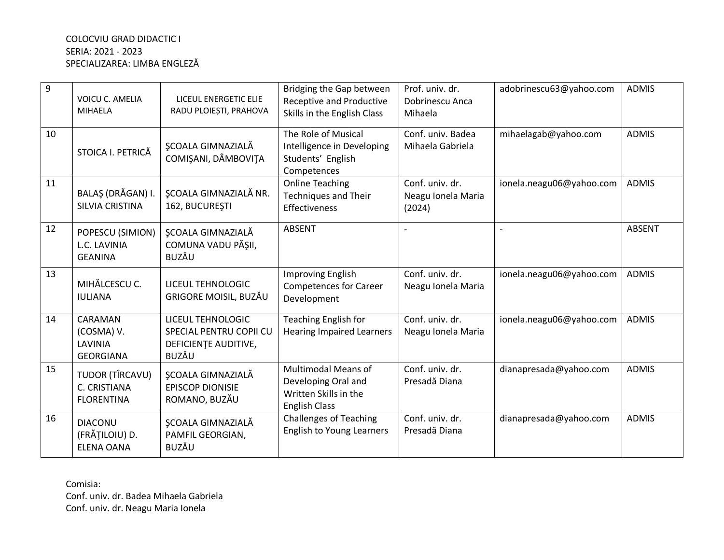## COLOCVIU GRAD DIDACTIC I SERIA: 2021 - 2023 SPECIALIZAREA: LIMBA ENGLEZĂ

| 9  | <b>VOICU C. AMELIA</b><br><b>MIHAELA</b>              | LICEUL ENERGETIC ELIE<br>RADU PLOIEȘTI, PRAHOVA                                      | Bridging the Gap between<br><b>Receptive and Productive</b><br>Skills in the English Class         | Prof. univ. dr.<br>Dobrinescu Anca<br>Mihaela   | adobrinescu63@yahoo.com  | <b>ADMIS</b>  |
|----|-------------------------------------------------------|--------------------------------------------------------------------------------------|----------------------------------------------------------------------------------------------------|-------------------------------------------------|--------------------------|---------------|
| 10 | STOICA I. PETRICĂ                                     | <b>SCOALA GIMNAZIALĂ</b><br>COMIȘANI, DÂMBOVIȚA                                      | The Role of Musical<br>Intelligence in Developing<br>Students' English<br>Competences              | Conf. univ. Badea<br>Mihaela Gabriela           | mihaelagab@yahoo.com     | <b>ADMIS</b>  |
| 11 | BALAŞ (DRĂGAN) I.<br>SILVIA CRISTINA                  | <b>SCOALA GIMNAZIALĂ NR.</b><br>162, BUCUREȘTI                                       | <b>Online Teaching</b><br><b>Techniques and Their</b><br><b>Effectiveness</b>                      | Conf. univ. dr.<br>Neagu Ionela Maria<br>(2024) | ionela.neagu06@yahoo.com | <b>ADMIS</b>  |
| 12 | POPESCU (SIMION)<br>L.C. LAVINIA<br><b>GEANINA</b>    | <b>ŞCOALA GIMNAZIALĂ</b><br>COMUNA VADU PĂȘII,<br><b>BUZĂU</b>                       | <b>ABSENT</b>                                                                                      |                                                 |                          | <b>ABSENT</b> |
| 13 | MIHĂLCESCU C.<br><b>IULIANA</b>                       | LICEUL TEHNOLOGIC<br>GRIGORE MOISIL, BUZĂU                                           | Improving English<br><b>Competences for Career</b><br>Development                                  | Conf. univ. dr.<br>Neagu Ionela Maria           | ionela.neagu06@yahoo.com | <b>ADMIS</b>  |
| 14 | CARAMAN<br>(COSMA) V.<br>LAVINIA<br><b>GEORGIANA</b>  | LICEUL TEHNOLOGIC<br>SPECIAL PENTRU COPII CU<br>DEFICIENTE AUDITIVE,<br><b>BUZĂU</b> | <b>Teaching English for</b><br><b>Hearing Impaired Learners</b>                                    | Conf. univ. dr.<br>Neagu Ionela Maria           | ionela.neagu06@yahoo.com | <b>ADMIS</b>  |
| 15 | TUDOR (TÎRCAVU)<br>C. CRISTIANA<br><b>FLORENTINA</b>  | <b>ŞCOALA GIMNAZIALĂ</b><br><b>EPISCOP DIONISIE</b><br>ROMANO, BUZĂU                 | <b>Multimodal Means of</b><br>Developing Oral and<br>Written Skills in the<br><b>English Class</b> | Conf. univ. dr.<br>Presadă Diana                | dianapresada@yahoo.com   | <b>ADMIS</b>  |
| 16 | <b>DIACONU</b><br>(FRĂȚILOIU) D.<br><b>ELENA OANA</b> | <b>ŞCOALA GIMNAZIALĂ</b><br>PAMFIL GEORGIAN,<br><b>BUZĂU</b>                         | <b>Challenges of Teaching</b><br><b>English to Young Learners</b>                                  | Conf. univ. dr.<br>Presadă Diana                | dianapresada@yahoo.com   | <b>ADMIS</b>  |

Comisia:

Conf. univ. dr. Badea Mihaela Gabriela Conf. univ. dr. Neagu Maria Ionela